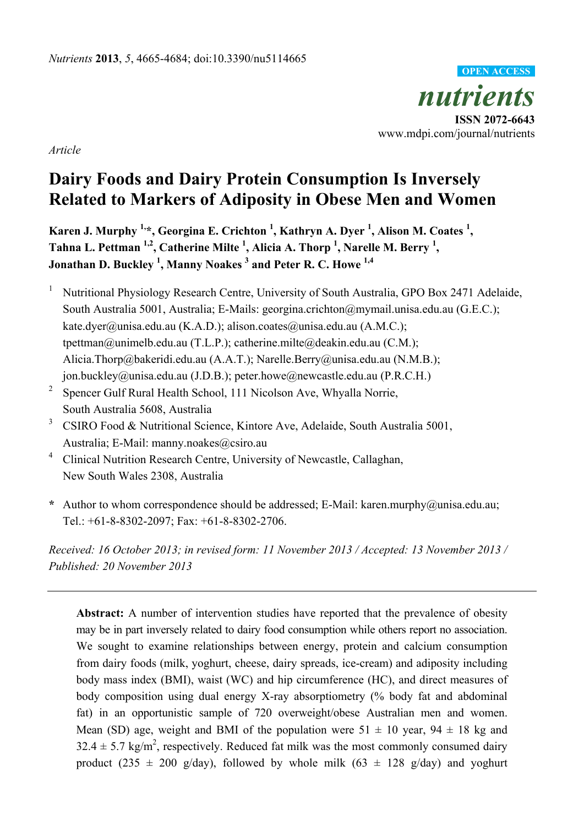

*Article* 

# **Dairy Foods and Dairy Protein Consumption Is Inversely Related to Markers of Adiposity in Obese Men and Women**

Karen J. Murphy <sup>1,\*</sup>, Georgina E. Crichton <sup>1</sup>, Kathryn A. Dyer <sup>1</sup>, Alison M. Coates <sup>1</sup>, Tahna L. Pettman <sup>1,2</sup>, Catherine Milte <sup>1</sup>, Alicia A. Thorp <sup>1</sup>, Narelle M. Berry <sup>1</sup>, **Jonathan D. Buckley <sup>1</sup> , Manny Noakes 3 and Peter R. C. Howe 1,4**

- <sup>1</sup> Nutritional Physiology Research Centre, University of South Australia, GPO Box 2471 Adelaide, South Australia 5001, Australia; E-Mails: georgina.crichton@mymail.unisa.edu.au (G.E.C.); kate.dyer@unisa.edu.au (K.A.D.); alison.coates@unisa.edu.au (A.M.C.); tpettman@unimelb.edu.au (T.L.P.); catherine.milte@deakin.edu.au (C.M.); Alicia.Thorp@bakeridi.edu.au (A.A.T.); Narelle.Berry@unisa.edu.au (N.M.B.); jon.buckley@unisa.edu.au (J.D.B.); peter.howe@newcastle.edu.au (P.R.C.H.)
- <sup>2</sup> Spencer Gulf Rural Health School, 111 Nicolson Ave, Whyalla Norrie, South Australia 5608, Australia
- <sup>3</sup> CSIRO Food & Nutritional Science, Kintore Ave, Adelaide, South Australia 5001, Australia; E-Mail: manny.noakes@csiro.au
- <sup>4</sup> Clinical Nutrition Research Centre, University of Newcastle, Callaghan, New South Wales 2308, Australia
- **\*** Author to whom correspondence should be addressed; E-Mail: karen.murphy@unisa.edu.au; Tel.: +61-8-8302-2097; Fax: +61-8-8302-2706.

*Received: 16 October 2013; in revised form: 11 November 2013 / Accepted: 13 November 2013 / Published: 20 November 2013* 

**Abstract:** A number of intervention studies have reported that the prevalence of obesity may be in part inversely related to dairy food consumption while others report no association. We sought to examine relationships between energy, protein and calcium consumption from dairy foods (milk, yoghurt, cheese, dairy spreads, ice-cream) and adiposity including body mass index (BMI), waist (WC) and hip circumference (HC), and direct measures of body composition using dual energy X-ray absorptiometry (% body fat and abdominal fat) in an opportunistic sample of 720 overweight/obese Australian men and women. Mean (SD) age, weight and BMI of the population were  $51 \pm 10$  year,  $94 \pm 18$  kg and  $32.4 \pm 5.7$  kg/m<sup>2</sup>, respectively. Reduced fat milk was the most commonly consumed dairy product (235  $\pm$  200 g/day), followed by whole milk (63  $\pm$  128 g/day) and yoghurt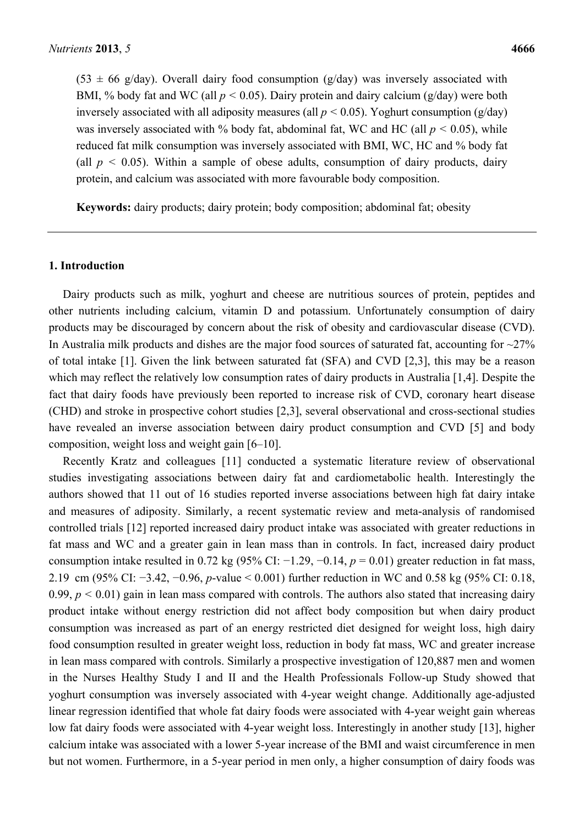$(53 \pm 66 \text{ g/day})$ . Overall dairy food consumption (g/day) was inversely associated with BMI, % body fat and WC (all  $p < 0.05$ ). Dairy protein and dairy calcium (g/day) were both inversely associated with all adiposity measures (all  $p < 0.05$ ). Yoghurt consumption (g/day) was inversely associated with % body fat, abdominal fat, WC and HC (all  $p < 0.05$ ), while reduced fat milk consumption was inversely associated with BMI, WC, HC and % body fat (all  $p < 0.05$ ). Within a sample of obese adults, consumption of dairy products, dairy protein, and calcium was associated with more favourable body composition.

**Keywords:** dairy products; dairy protein; body composition; abdominal fat; obesity

#### **1. Introduction**

Dairy products such as milk, yoghurt and cheese are nutritious sources of protein, peptides and other nutrients including calcium, vitamin D and potassium. Unfortunately consumption of dairy products may be discouraged by concern about the risk of obesity and cardiovascular disease (CVD). In Australia milk products and dishes are the major food sources of saturated fat, accounting for  $\sim$ 27% of total intake [1]. Given the link between saturated fat (SFA) and CVD [2,3], this may be a reason which may reflect the relatively low consumption rates of dairy products in Australia [1,4]. Despite the fact that dairy foods have previously been reported to increase risk of CVD, coronary heart disease (CHD) and stroke in prospective cohort studies [2,3], several observational and cross-sectional studies have revealed an inverse association between dairy product consumption and CVD [5] and body composition, weight loss and weight gain [6–10].

Recently Kratz and colleagues [11] conducted a systematic literature review of observational studies investigating associations between dairy fat and cardiometabolic health. Interestingly the authors showed that 11 out of 16 studies reported inverse associations between high fat dairy intake and measures of adiposity. Similarly, a recent systematic review and meta-analysis of randomised controlled trials [12] reported increased dairy product intake was associated with greater reductions in fat mass and WC and a greater gain in lean mass than in controls. In fact, increased dairy product consumption intake resulted in 0.72 kg (95% CI: −1.29, −0.14, *p* = 0.01) greater reduction in fat mass, 2.19 cm (95% CI: −3.42, −0.96, *p*-value < 0.001) further reduction in WC and 0.58 kg (95% CI: 0.18, 0.99,  $p < 0.01$ ) gain in lean mass compared with controls. The authors also stated that increasing dairy product intake without energy restriction did not affect body composition but when dairy product consumption was increased as part of an energy restricted diet designed for weight loss, high dairy food consumption resulted in greater weight loss, reduction in body fat mass, WC and greater increase in lean mass compared with controls. Similarly a prospective investigation of 120,887 men and women in the Nurses Healthy Study I and II and the Health Professionals Follow-up Study showed that yoghurt consumption was inversely associated with 4-year weight change. Additionally age-adjusted linear regression identified that whole fat dairy foods were associated with 4-year weight gain whereas low fat dairy foods were associated with 4-year weight loss. Interestingly in another study [13], higher calcium intake was associated with a lower 5-year increase of the BMI and waist circumference in men but not women. Furthermore, in a 5-year period in men only, a higher consumption of dairy foods was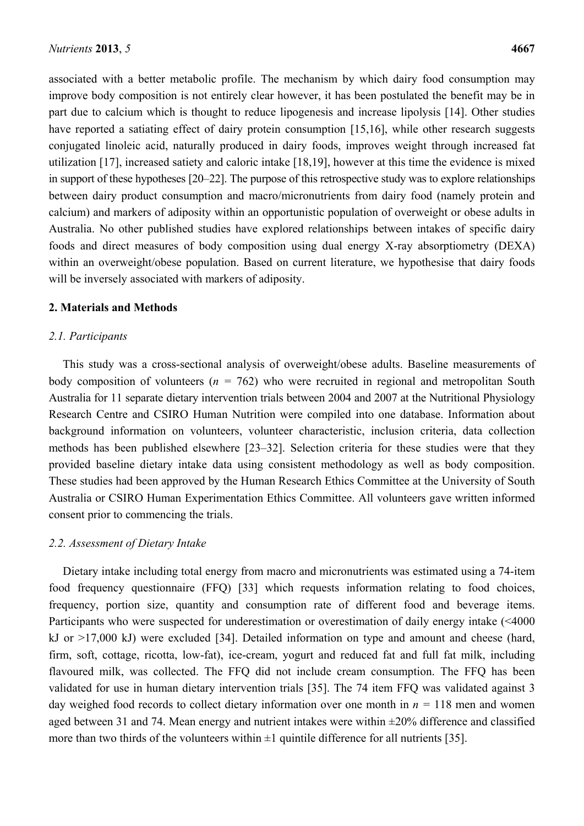associated with a better metabolic profile. The mechanism by which dairy food consumption may improve body composition is not entirely clear however, it has been postulated the benefit may be in part due to calcium which is thought to reduce lipogenesis and increase lipolysis [14]. Other studies have reported a satiating effect of dairy protein consumption [15,16], while other research suggests conjugated linoleic acid, naturally produced in dairy foods, improves weight through increased fat utilization [17], increased satiety and caloric intake [18,19], however at this time the evidence is mixed in support of these hypotheses [20–22]. The purpose of this retrospective study was to explore relationships between dairy product consumption and macro/micronutrients from dairy food (namely protein and calcium) and markers of adiposity within an opportunistic population of overweight or obese adults in Australia. No other published studies have explored relationships between intakes of specific dairy foods and direct measures of body composition using dual energy X-ray absorptiometry (DEXA) within an overweight/obese population. Based on current literature, we hypothesise that dairy foods will be inversely associated with markers of adiposity.

#### **2. Materials and Methods**

#### *2.1. Participants*

This study was a cross-sectional analysis of overweight/obese adults. Baseline measurements of body composition of volunteers ( $n = 762$ ) who were recruited in regional and metropolitan South Australia for 11 separate dietary intervention trials between 2004 and 2007 at the Nutritional Physiology Research Centre and CSIRO Human Nutrition were compiled into one database. Information about background information on volunteers, volunteer characteristic, inclusion criteria, data collection methods has been published elsewhere [23–32]. Selection criteria for these studies were that they provided baseline dietary intake data using consistent methodology as well as body composition. These studies had been approved by the Human Research Ethics Committee at the University of South Australia or CSIRO Human Experimentation Ethics Committee. All volunteers gave written informed consent prior to commencing the trials.

#### *2.2. Assessment of Dietary Intake*

Dietary intake including total energy from macro and micronutrients was estimated using a 74-item food frequency questionnaire (FFQ) [33] which requests information relating to food choices, frequency, portion size, quantity and consumption rate of different food and beverage items. Participants who were suspected for underestimation or overestimation of daily energy intake (<4000 kJ or >17,000 kJ) were excluded [34]. Detailed information on type and amount and cheese (hard, firm, soft, cottage, ricotta, low-fat), ice-cream, yogurt and reduced fat and full fat milk, including flavoured milk, was collected. The FFO did not include cream consumption. The FFO has been validated for use in human dietary intervention trials [35]. The 74 item FFQ was validated against 3 day weighed food records to collect dietary information over one month in  $n = 118$  men and women aged between 31 and 74. Mean energy and nutrient intakes were within  $\pm 20\%$  difference and classified more than two thirds of the volunteers within  $\pm 1$  quintile difference for all nutrients [35].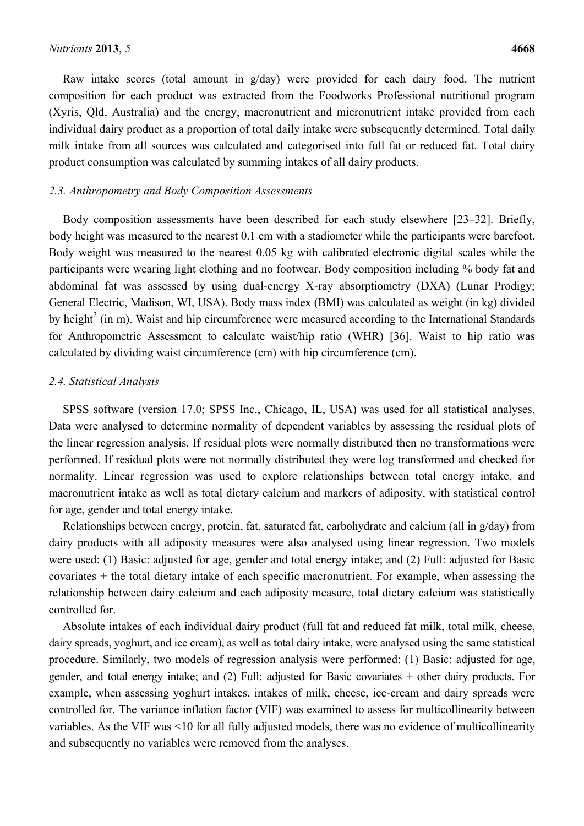Raw intake scores (total amount in  $g/day$ ) were provided for each dairy food. The nutrient composition for each product was extracted from the Foodworks Professional nutritional program (Xyris, Qld, Australia) and the energy, macronutrient and micronutrient intake provided from each individual dairy product as a proportion of total daily intake were subsequently determined. Total daily milk intake from all sources was calculated and categorised into full fat or reduced fat. Total dairy product consumption was calculated by summing intakes of all dairy products.

#### *2.3. Anthropometry and Body Composition Assessments*

Body composition assessments have been described for each study elsewhere [23–32]. Briefly, body height was measured to the nearest 0.1 cm with a stadiometer while the participants were barefoot. Body weight was measured to the nearest 0.05 kg with calibrated electronic digital scales while the participants were wearing light clothing and no footwear. Body composition including % body fat and abdominal fat was assessed by using dual-energy X-ray absorptiometry (DXA) (Lunar Prodigy; General Electric, Madison, WI, USA). Body mass index (BMI) was calculated as weight (in kg) divided by height<sup>2</sup> (in m). Waist and hip circumference were measured according to the International Standards for Anthropometric Assessment to calculate waist/hip ratio (WHR) [36]. Waist to hip ratio was calculated by dividing waist circumference (cm) with hip circumference (cm).

#### *2.4. Statistical Analysis*

SPSS software (version 17.0; SPSS Inc., Chicago, IL, USA) was used for all statistical analyses. Data were analysed to determine normality of dependent variables by assessing the residual plots of the linear regression analysis. If residual plots were normally distributed then no transformations were performed. If residual plots were not normally distributed they were log transformed and checked for normality. Linear regression was used to explore relationships between total energy intake, and macronutrient intake as well as total dietary calcium and markers of adiposity, with statistical control for age, gender and total energy intake.

Relationships between energy, protein, fat, saturated fat, carbohydrate and calcium (all in g/day) from dairy products with all adiposity measures were also analysed using linear regression. Two models were used: (1) Basic: adjusted for age, gender and total energy intake; and (2) Full: adjusted for Basic covariates + the total dietary intake of each specific macronutrient. For example, when assessing the relationship between dairy calcium and each adiposity measure, total dietary calcium was statistically controlled for.

Absolute intakes of each individual dairy product (full fat and reduced fat milk, total milk, cheese, dairy spreads, yoghurt, and ice cream), as well as total dairy intake, were analysed using the same statistical procedure. Similarly, two models of regression analysis were performed: (1) Basic: adjusted for age, gender, and total energy intake; and (2) Full: adjusted for Basic covariates + other dairy products. For example, when assessing yoghurt intakes, intakes of milk, cheese, ice-cream and dairy spreads were controlled for. The variance inflation factor (VIF) was examined to assess for multicollinearity between variables. As the VIF was <10 for all fully adjusted models, there was no evidence of multicollinearity and subsequently no variables were removed from the analyses.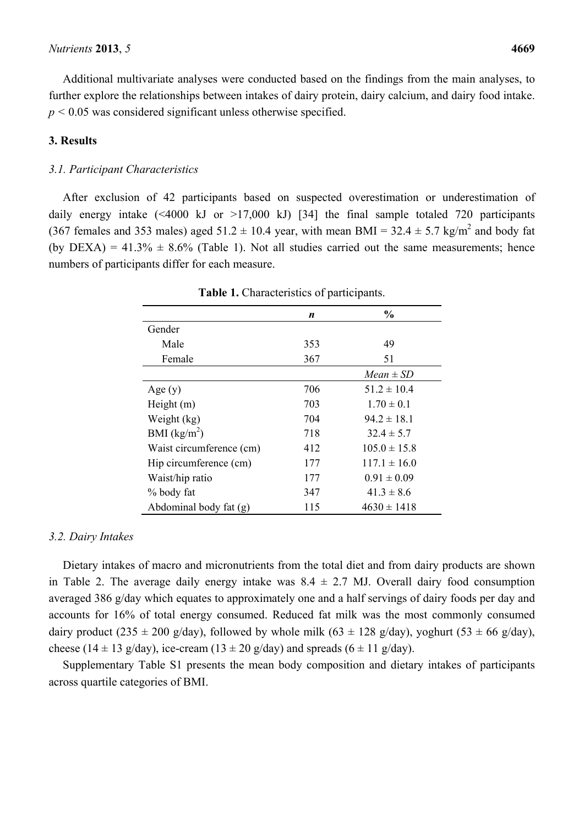Additional multivariate analyses were conducted based on the findings from the main analyses, to further explore the relationships between intakes of dairy protein, dairy calcium, and dairy food intake.  $p < 0.05$  was considered significant unless otherwise specified.

#### **3. Results**

#### *3.1. Participant Characteristics*

After exclusion of 42 participants based on suspected overestimation or underestimation of daily energy intake  $(\leq 4000 \text{ kJ} \text{ or } >17,000 \text{ kJ})$  [34] the final sample totaled 720 participants (367 females and 353 males) aged  $51.2 \pm 10.4$  year, with mean BMI = 32.4  $\pm$  5.7 kg/m<sup>2</sup> and body fat (by DEXA) =  $41.3\% \pm 8.6\%$  (Table 1). Not all studies carried out the same measurements; hence numbers of participants differ for each measure.

|                          | n   | $\frac{0}{0}$    |
|--------------------------|-----|------------------|
| Gender                   |     |                  |
| Male                     | 353 | 49               |
| Female                   | 367 | 51               |
|                          |     | $Mean \pm SD$    |
| Age $(y)$                | 706 | $51.2 \pm 10.4$  |
| Height $(m)$             | 703 | $1.70 \pm 0.1$   |
| Weight (kg)              | 704 | $94.2 \pm 18.1$  |
| BMI $(kg/m^2)$           | 718 | $32.4 \pm 5.7$   |
| Waist circumference (cm) | 412 | $105.0 \pm 15.8$ |
| Hip circumference (cm)   | 177 | $117.1 \pm 16.0$ |
| Waist/hip ratio          | 177 | $0.91 \pm 0.09$  |
| % body fat               | 347 | $41.3 \pm 8.6$   |
| Abdominal body fat (g)   | 115 | $4630 \pm 1418$  |

**Table 1.** Characteristics of participants.

#### *3.2. Dairy Intakes*

Dietary intakes of macro and micronutrients from the total diet and from dairy products are shown in Table 2. The average daily energy intake was  $8.4 \pm 2.7$  MJ. Overall dairy food consumption averaged 386 g/day which equates to approximately one and a half servings of dairy foods per day and accounts for 16% of total energy consumed. Reduced fat milk was the most commonly consumed dairy product (235  $\pm$  200 g/day), followed by whole milk (63  $\pm$  128 g/day), yoghurt (53  $\pm$  66 g/day), cheese (14  $\pm$  13 g/day), ice-cream (13  $\pm$  20 g/day) and spreads (6  $\pm$  11 g/day).

Supplementary Table S1 presents the mean body composition and dietary intakes of participants across quartile categories of BMI.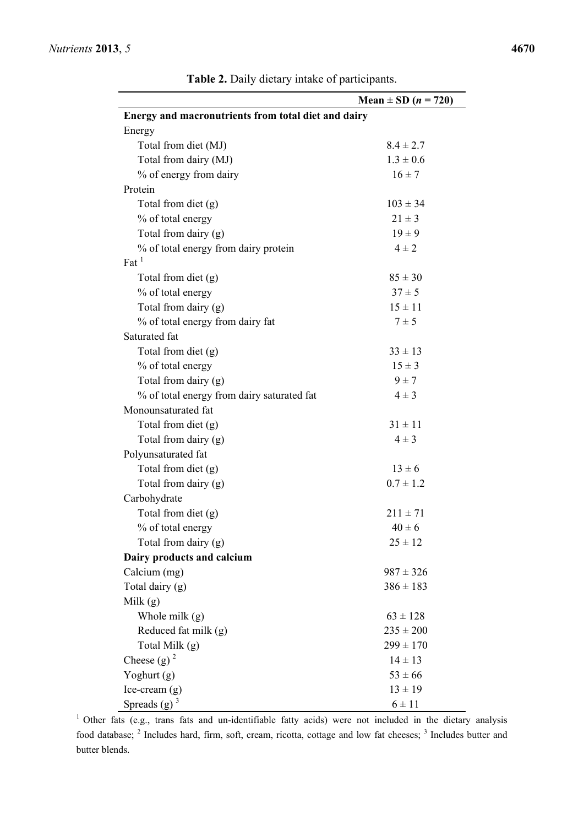|                                                     | Mean $\pm$ SD ( <i>n</i> = 720) |
|-----------------------------------------------------|---------------------------------|
| Energy and macronutrients from total diet and dairy |                                 |
| Energy                                              |                                 |
| Total from diet (MJ)                                | $8.4 \pm 2.7$                   |
| Total from dairy (MJ)                               | $1.3 \pm 0.6$                   |
| % of energy from dairy                              | $16 \pm 7$                      |
| Protein                                             |                                 |
| Total from diet (g)                                 | $103 \pm 34$                    |
| % of total energy                                   | $21 \pm 3$                      |
| Total from dairy (g)                                | $19 \pm 9$                      |
| % of total energy from dairy protein                | $4 \pm 2$                       |
| $\mathrm{Fat}^{-1}$                                 |                                 |
| Total from diet (g)                                 | $85 \pm 30$                     |
| % of total energy                                   | $37 \pm 5$                      |
| Total from dairy (g)                                | $15 \pm 11$                     |
| % of total energy from dairy fat                    | $7 \pm 5$                       |
| Saturated fat                                       |                                 |
| Total from diet (g)                                 | $33 \pm 13$                     |
| % of total energy                                   | $15 \pm 3$                      |
| Total from dairy (g)                                | $9 \pm 7$                       |
| % of total energy from dairy saturated fat          | $4 \pm 3$                       |
| Monounsaturated fat                                 |                                 |
| Total from diet (g)                                 | $31 \pm 11$                     |
| Total from dairy (g)                                | $4 \pm 3$                       |
| Polyunsaturated fat                                 |                                 |
| Total from diet (g)                                 | $13 \pm 6$                      |
| Total from dairy (g)                                | $0.7 \pm 1.2$                   |
| Carbohydrate                                        |                                 |
| Total from diet (g)                                 | $211 \pm 71$                    |
| % of total energy                                   | $40 \pm 6$                      |
| Total from dairy (g)                                | $25 \pm 12$                     |
| Dairy products and calcium                          |                                 |
| Calcium (mg)                                        | $987 \pm 326$                   |
| Total dairy (g)                                     | $386 \pm 183$                   |
| Milk $(g)$                                          |                                 |
| Whole milk $(g)$                                    | $63 \pm 128$                    |
| Reduced fat milk (g)                                | $235 \pm 200$                   |
| Total Milk (g)                                      | $299 \pm 170$                   |
| Cheese (g) $2^2$                                    | $14 \pm 13$                     |
| Yoghurt (g)                                         | $53 \pm 66$                     |
| $Ice-cream(g)$                                      | $13 \pm 19$                     |
| Spreads $(g)$ <sup>3</sup>                          | $6 \pm 11$                      |

**Table 2.** Daily dietary intake of participants.

<sup>1</sup> Other fats (e.g., trans fats and un-identifiable fatty acids) were not included in the dietary analysis food database; <sup>2</sup> Includes hard, firm, soft, cream, ricotta, cottage and low fat cheeses; <sup>3</sup> Includes butter and butter blends.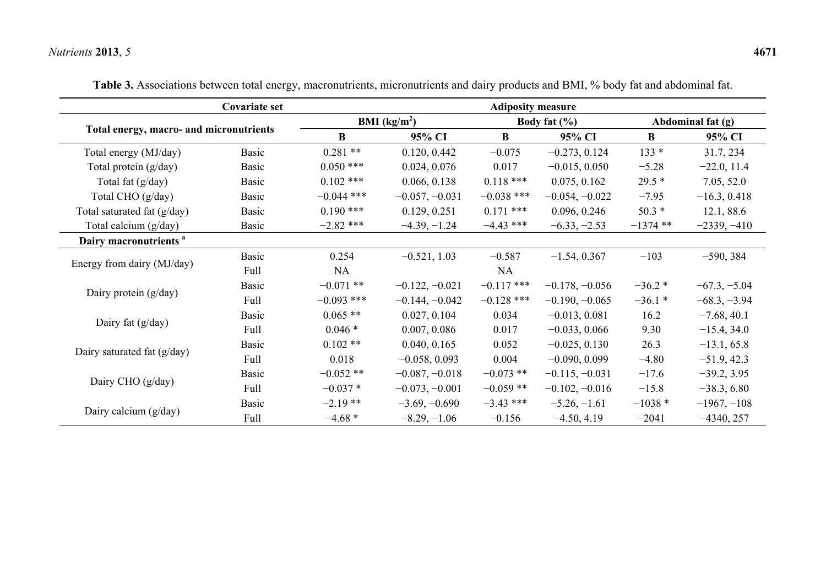## *Nutrients* **2013**, *5* **4671**

|                                         | Covariate set | <b>Adiposity measure</b> |                                |              |                  |                   |                |  |  |
|-----------------------------------------|---------------|--------------------------|--------------------------------|--------------|------------------|-------------------|----------------|--|--|
|                                         |               |                          | <b>BMI</b> ( $\text{kg/m}^2$ ) |              | Body fat $(\% )$ | Abdominal fat (g) |                |  |  |
| Total energy, macro- and micronutrients |               | $\bf{B}$                 | 95% CI                         | $\bf{B}$     | 95% CI           | B                 | 95% CI         |  |  |
| Total energy (MJ/day)                   | <b>Basic</b>  | $0.281**$                | 0.120, 0.442                   | $-0.075$     | $-0.273, 0.124$  | $133 *$           | 31.7, 234      |  |  |
| Total protein (g/day)                   | Basic         | $0.050$ ***              | 0.024, 0.076                   | 0.017        | $-0.015, 0.050$  | $-5.28$           | $-22.0, 11.4$  |  |  |
| Total fat (g/day)                       | Basic         | $0.102$ ***              | 0.066, 0.138                   | $0.118$ ***  | 0.075, 0.162     | $29.5*$           | 7.05, 52.0     |  |  |
| Total CHO (g/day)                       | Basic         | $-0.044$ ***             | $-0.057, -0.031$               | $-0.038$ *** | $-0.054, -0.022$ | $-7.95$           | $-16.3, 0.418$ |  |  |
| Total saturated fat (g/day)             | Basic         | $0.190$ ***              | 0.129, 0.251                   | $0.171$ ***  | 0.096, 0.246     | $50.3*$           | 12.1, 88.6     |  |  |
| Total calcium (g/day)                   | Basic         | $-2.82$ ***              | $-4.39, -1.24$                 | $-4.43$ ***  | $-6.33, -2.53$   | $-1374$ **        | $-2339, -410$  |  |  |
| Dairy macronutrients <sup>a</sup>       |               |                          |                                |              |                  |                   |                |  |  |
|                                         | <b>Basic</b>  | 0.254                    | $-0.521, 1.03$                 | $-0.587$     | $-1.54, 0.367$   | $-103$            | $-590, 384$    |  |  |
| Energy from dairy (MJ/day)              | Full          | NA                       |                                | NA           |                  |                   |                |  |  |
|                                         | <b>Basic</b>  | $-0.071$ **              | $-0.122, -0.021$               | $-0.117$ *** | $-0.178, -0.056$ | $-36.2*$          | $-67.3, -5.04$ |  |  |
| Dairy protein $(g/day)$                 | Full          | $-0.093$ ***             | $-0.144, -0.042$               | $-0.128$ *** | $-0.190, -0.065$ | $-36.1*$          | $-68.3, -3.94$ |  |  |
|                                         | Basic         | $0.065$ **               | 0.027, 0.104                   | 0.034        | $-0.013, 0.081$  | 16.2              | $-7.68, 40.1$  |  |  |
| Dairy fat $(g/day)$                     | Full          | $0.046*$                 | 0.007, 0.086                   | 0.017        | $-0.033, 0.066$  | 9.30              | $-15.4, 34.0$  |  |  |
|                                         | Basic         | $0.102**$                | 0.040, 0.165                   | 0.052        | $-0.025, 0.130$  | 26.3              | $-13.1, 65.8$  |  |  |
| Dairy saturated fat $(g/day)$           | Full          | 0.018                    | $-0.058, 0.093$                | 0.004        | $-0.090, 0.099$  | $-4.80$           | $-51.9, 42.3$  |  |  |
|                                         | <b>Basic</b>  | $-0.052**$               | $-0.087, -0.018$               | $-0.073$ **  | $-0.115, -0.031$ | $-17.6$           | $-39.2, 3.95$  |  |  |
| Dairy CHO (g/day)                       | Full          | $-0.037*$                | $-0.073, -0.001$               | $-0.059$ **  | $-0.102, -0.016$ | $-15.8$           | $-38.3, 6.80$  |  |  |
|                                         | Basic         | $-2.19**$                | $-3.69, -0.690$                | $-3.43$ ***  | $-5.26, -1.61$   | $-1038*$          | $-1967, -108$  |  |  |
| Dairy calcium $(g/day)$                 | Full          | $-4.68*$                 | $-8.29, -1.06$                 | $-0.156$     | $-4.50, 4.19$    | $-2041$           | $-4340, 257$   |  |  |

**Table 3.** Associations between total energy, macronutrients, micronutrients and dairy products and BMI, % body fat and abdominal fat.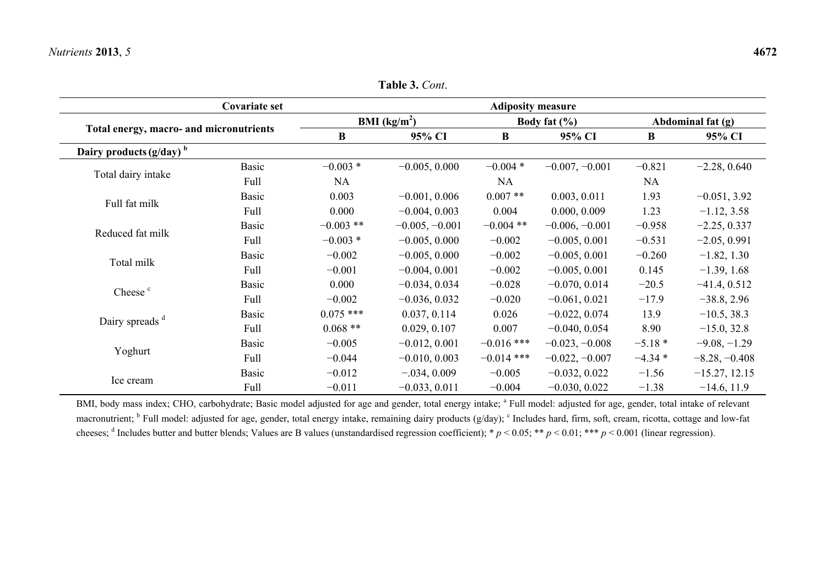Ice cream

|                                         |               |             | <b>Table 3.</b> Cont.    |                          |                  |                   |                |  |
|-----------------------------------------|---------------|-------------|--------------------------|--------------------------|------------------|-------------------|----------------|--|
|                                         | Covariate set |             |                          | <b>Adiposity measure</b> |                  |                   |                |  |
|                                         |               |             | BMI (kg/m <sup>2</sup> ) |                          | Body fat $(\% )$ | Abdominal fat (g) |                |  |
| Total energy, macro- and micronutrients |               | B           | 95% CI                   | B                        |                  | $\bf{B}$          | 95% CI         |  |
| Dairy products $(g/day)^b$              |               |             |                          |                          |                  |                   |                |  |
| Total dairy intake                      | <b>Basic</b>  | $-0.003*$   | $-0.005, 0.000$          | $-0.004*$                | $-0.007, -0.001$ | $-0.821$          | $-2.28, 0.640$ |  |
|                                         | Full          | <b>NA</b>   |                          | <b>NA</b>                |                  | <b>NA</b>         |                |  |
| Full fat milk                           | <b>Basic</b>  | 0.003       | $-0.001, 0.006$          | $0.007**$                | 0.003, 0.011     | 1.93              | $-0.051, 3.92$ |  |
|                                         | Full          | 0.000       | $-0.004, 0.003$          | 0.004                    | 0.000, 0.009     | 1.23              | $-1.12, 3.58$  |  |
| Reduced fat milk                        | <b>Basic</b>  | $-0.003$ ** | $-0.005, -0.001$         | $-0.004$ **              | $-0.006, -0.001$ | $-0.958$          | $-2.25, 0.337$ |  |
|                                         | Full          | $-0.003*$   | $-0.005, 0.000$          | $-0.002$                 | $-0.005, 0.001$  | $-0.531$          | $-2.05, 0.991$ |  |
| Total milk                              | <b>Basic</b>  | $-0.002$    | $-0.005, 0.000$          | $-0.002$                 | $-0.005, 0.001$  | $-0.260$          | $-1.82, 1.30$  |  |
|                                         | Full          | $-0.001$    | $-0.004, 0.001$          | $-0.002$                 | $-0.005, 0.001$  | 0.145             | $-1.39, 1.68$  |  |
|                                         | <b>Basic</b>  | 0.000       | $-0.034, 0.034$          | $-0.028$                 | $-0.070, 0.014$  | $-20.5$           | $-41.4, 0.512$ |  |
| Cheese <sup>c</sup>                     | Full          | $-0.002$    | $-0.036, 0.032$          | $-0.020$                 | $-0.061, 0.021$  | $-17.9$           | $-38.8, 2.96$  |  |
|                                         | <b>Basic</b>  | $0.075$ *** | 0.037, 0.114             | 0.026                    | $-0.022, 0.074$  | 13.9              | $-10.5, 38.3$  |  |
| Dairy spreads <sup>d</sup>              | Full          | $0.068**$   | 0.029, 0.107             | 0.007                    | $-0.040, 0.054$  | 8.90              | $-15.0, 32.8$  |  |

**Table 3.** *Cont*.

BMI, body mass index; CHO, carbohydrate; Basic model adjusted for age and gender, total energy intake; <sup>a</sup> Full model: adjusted for age, gender, total intake of relevant macronutrient; <sup>b</sup> Full model: adjusted for age, gender, total energy intake, remaining dairy products (g/day); <sup>c</sup> Includes hard, firm, soft, cream, ricotta, cottage and low-fat cheeses; <sup>d</sup> Includes butter and butter blends; Values are B values (unstandardised regression coefficient); \*  $p < 0.05$ ; \*\*  $p < 0.01$ ; \*\*\*  $p < 0.001$  (linear regression).

Yoghurt Basic −0.005 −0.012, 0.001 −0.016 \*\*\* <sup>−</sup>0.023, −0.008 <sup>−</sup>5.18 \* −9.08, −1.29 Full −0.044 −0.010, 0.003 −0.014 \*\*\* <sup>−</sup>0.022, −0.007 <sup>−</sup>4.34 \* −8.28, −0.408

Basic −0.012 −.034, 0.009 −0.005 −0.032, 0.022 −1.56 −15.27, 12.15 Full  $-0.011$   $-0.033, 0.011$   $-0.004$   $-0.030, 0.022$   $-1.38$   $-14.6, 11.9$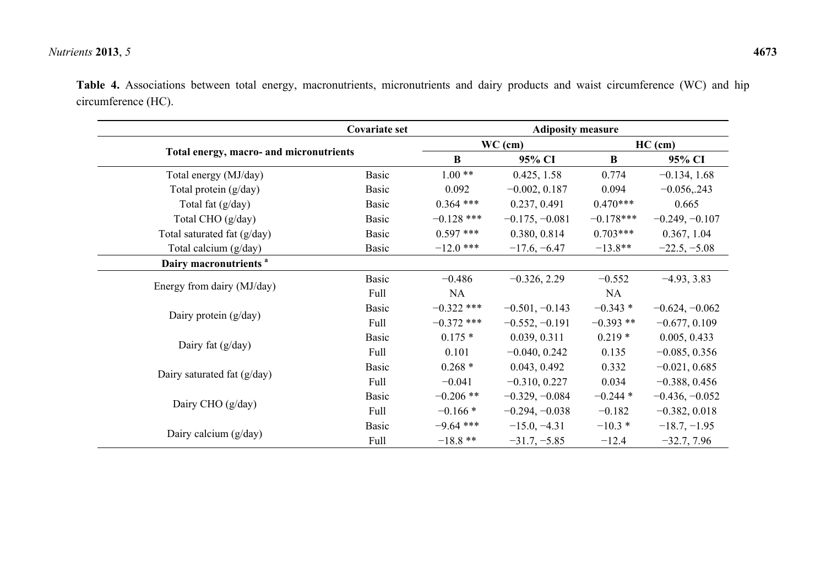### *Nutrients* **2013**, *5* **4673**

**Table 4.** Associations between total energy, macronutrients, micronutrients and dairy products and waist circumference (WC) and hip circumference (HC).

|                                         | <b>Covariate set</b> | <b>Adiposity measure</b> |                  |             |                  |
|-----------------------------------------|----------------------|--------------------------|------------------|-------------|------------------|
|                                         |                      | $WC$ (cm)                |                  | $HC$ (cm)   |                  |
| Total energy, macro- and micronutrients |                      | B                        | 95% CI           | $\bf{B}$    | 95% CI           |
| Total energy (MJ/day)                   | <b>Basic</b>         | $1.00**$                 | 0.425, 1.58      | 0.774       | $-0.134, 1.68$   |
| Total protein (g/day)                   | <b>Basic</b>         | 0.092                    | $-0.002, 0.187$  | 0.094       | $-0.056, 243$    |
| Total fat $(g/day)$                     | <b>Basic</b>         | $0.364$ ***              | 0.237, 0.491     | $0.470***$  | 0.665            |
| Total CHO (g/day)                       | <b>Basic</b>         | $-0.128$ ***             | $-0.175, -0.081$ | $-0.178***$ | $-0.249, -0.107$ |
| Total saturated fat (g/day)             | Basic                | $0.597$ ***              | 0.380, 0.814     | $0.703***$  | 0.367, 1.04      |
| Total calcium (g/day)                   | <b>Basic</b>         | $-12.0$ ***              | $-17.6, -6.47$   | $-13.8**$   | $-22.5, -5.08$   |
| Dairy macronutrients <sup>a</sup>       |                      |                          |                  |             |                  |
|                                         | <b>Basic</b>         | $-0.486$                 | $-0.326, 2.29$   | $-0.552$    | $-4.93, 3.83$    |
| Energy from dairy (MJ/day)              | Full                 | NA                       |                  | NA          |                  |
|                                         | <b>Basic</b>         | $-0.322$ ***             | $-0.501, -0.143$ | $-0.343*$   | $-0.624, -0.062$ |
| Dairy protein $(g/day)$                 | Full                 | $-0.372$ ***             | $-0.552, -0.191$ | $-0.393$ ** | $-0.677, 0.109$  |
|                                         | <b>Basic</b>         | $0.175*$                 | 0.039, 0.311     | $0.219*$    | 0.005, 0.433     |
| Dairy fat $(g/day)$                     | Full                 | 0.101                    | $-0.040, 0.242$  | 0.135       | $-0.085, 0.356$  |
|                                         | <b>Basic</b>         | $0.268*$                 | 0.043, 0.492     | 0.332       | $-0.021, 0.685$  |
| Dairy saturated fat (g/day)             | Full                 | $-0.041$                 | $-0.310, 0.227$  | 0.034       | $-0.388, 0.456$  |
|                                         | <b>Basic</b>         | $-0.206$ **              | $-0.329, -0.084$ | $-0.244*$   | $-0.436, -0.052$ |
| Dairy CHO $(g/day)$                     | Full                 | $-0.166*$                | $-0.294, -0.038$ | $-0.182$    | $-0.382, 0.018$  |
|                                         | <b>Basic</b>         | $-9.64$ ***              | $-15.0, -4.31$   | $-10.3*$    | $-18.7, -1.95$   |
| Dairy calcium (g/day)                   | Full                 | $-18.8$ **               | $-31.7, -5.85$   | $-12.4$     | $-32.7, 7.96$    |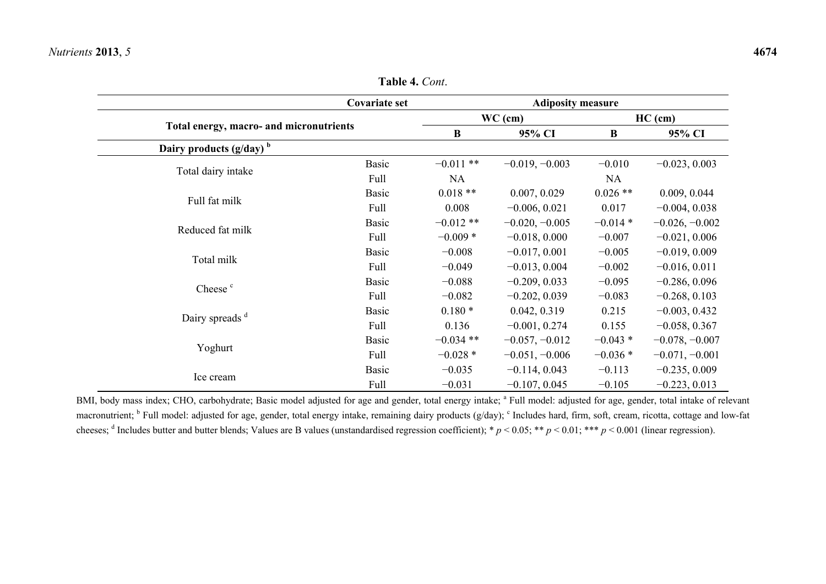|                                         | <b>Covariate set</b> |             | <b>Adiposity measure</b> |            |                  |  |
|-----------------------------------------|----------------------|-------------|--------------------------|------------|------------------|--|
|                                         |                      |             | $WC$ (cm)                | $HC$ (cm)  |                  |  |
| Total energy, macro- and micronutrients |                      | $\bf{B}$    | 95% CI                   | B          | 95% CI           |  |
| Dairy products $(g/day)^b$              |                      |             |                          |            |                  |  |
|                                         | <b>Basic</b>         | $-0.011$ ** | $-0.019, -0.003$         | $-0.010$   | $-0.023, 0.003$  |  |
| Total dairy intake                      | Full                 | <b>NA</b>   |                          | <b>NA</b>  |                  |  |
|                                         | <b>Basic</b>         | $0.018**$   | 0.007, 0.029             | $0.026$ ** | 0.009, 0.044     |  |
| Full fat milk                           | Full                 | 0.008       | $-0.006, 0.021$          | 0.017      | $-0.004, 0.038$  |  |
|                                         | <b>Basic</b>         | $-0.012**$  | $-0.020, -0.005$         | $-0.014*$  | $-0.026, -0.002$ |  |
| Reduced fat milk                        | Full                 | $-0.009*$   | $-0.018, 0.000$          | $-0.007$   | $-0.021, 0.006$  |  |
|                                         | <b>Basic</b>         | $-0.008$    | $-0.017, 0.001$          | $-0.005$   | $-0.019, 0.009$  |  |
| Total milk                              | Full                 | $-0.049$    | $-0.013, 0.004$          | $-0.002$   | $-0.016, 0.011$  |  |
|                                         | <b>Basic</b>         | $-0.088$    | $-0.209, 0.033$          | $-0.095$   | $-0.286, 0.096$  |  |
| Cheese <sup>c</sup>                     | Full                 | $-0.082$    | $-0.202, 0.039$          | $-0.083$   | $-0.268, 0.103$  |  |
|                                         | <b>Basic</b>         | $0.180*$    | 0.042, 0.319             | 0.215      | $-0.003, 0.432$  |  |
| Dairy spreads <sup>d</sup>              | Full                 | 0.136       | $-0.001, 0.274$          | 0.155      | $-0.058, 0.367$  |  |
|                                         | <b>Basic</b>         | $-0.034$ ** | $-0.057, -0.012$         | $-0.043*$  | $-0.078, -0.007$ |  |
| Yoghurt                                 | Full                 | $-0.028*$   | $-0.051, -0.006$         | $-0.036*$  | $-0.071, -0.001$ |  |
|                                         | <b>Basic</b>         | $-0.035$    | $-0.114, 0.043$          | $-0.113$   | $-0.235, 0.009$  |  |
| Ice cream                               | Full                 | $-0.031$    | $-0.107, 0.045$          | $-0.105$   | $-0.223, 0.013$  |  |

**Table 4.** *Cont*.

BMI, body mass index; CHO, carbohydrate; Basic model adjusted for age and gender, total energy intake; <sup>a</sup> Full model: adjusted for age, gender, total intake of relevant macronutrient; <sup>b</sup> Full model: adjusted for age, gender, total energy intake, remaining dairy products (g/day); <sup>c</sup> Includes hard, firm, soft, cream, ricotta, cottage and low-fat cheeses; <sup>d</sup> Includes butter and butter blends; Values are B values (unstandardised regression coefficient); \*  $p < 0.05$ ; \*\*  $p < 0.01$ ; \*\*\*  $p < 0.001$  (linear regression).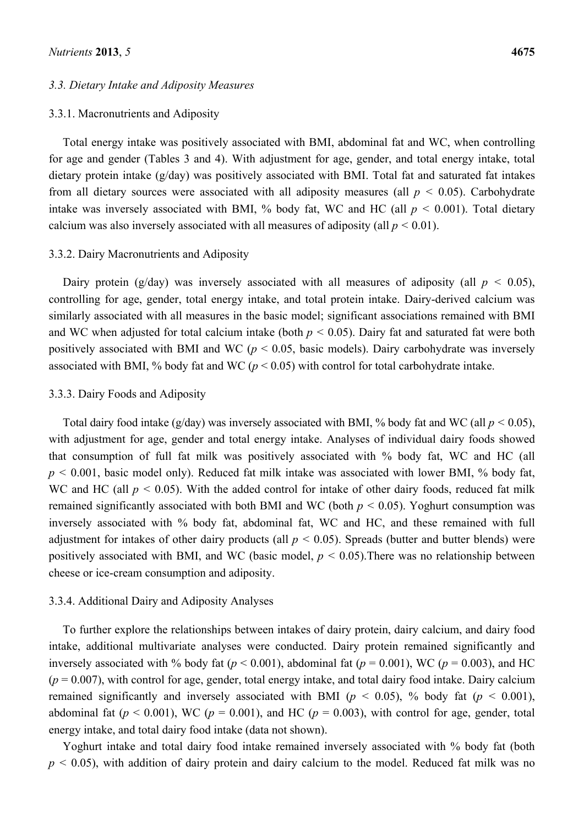#### *3.3. Dietary Intake and Adiposity Measures*

#### 3.3.1. Macronutrients and Adiposity

Total energy intake was positively associated with BMI, abdominal fat and WC, when controlling for age and gender (Tables 3 and 4). With adjustment for age, gender, and total energy intake, total dietary protein intake (g/day) was positively associated with BMI. Total fat and saturated fat intakes from all dietary sources were associated with all adiposity measures (all  $p < 0.05$ ). Carbohydrate intake was inversely associated with BMI, % body fat, WC and HC (all  $p < 0.001$ ). Total dietary calcium was also inversely associated with all measures of adiposity (all  $p < 0.01$ ).

#### 3.3.2. Dairy Macronutrients and Adiposity

Dairy protein (g/day) was inversely associated with all measures of adiposity (all  $p < 0.05$ ), controlling for age, gender, total energy intake, and total protein intake. Dairy-derived calcium was similarly associated with all measures in the basic model; significant associations remained with BMI and WC when adjusted for total calcium intake (both  $p < 0.05$ ). Dairy fat and saturated fat were both positively associated with BMI and WC (*p* < 0.05, basic models). Dairy carbohydrate was inversely associated with BMI, % body fat and WC ( $p < 0.05$ ) with control for total carbohydrate intake.

#### 3.3.3. Dairy Foods and Adiposity

Total dairy food intake (g/day) was inversely associated with BMI, % body fat and WC (all  $p < 0.05$ ), with adjustment for age, gender and total energy intake. Analyses of individual dairy foods showed that consumption of full fat milk was positively associated with % body fat, WC and HC (all  $p \le 0.001$ , basic model only). Reduced fat milk intake was associated with lower BMI, % body fat, WC and HC (all  $p < 0.05$ ). With the added control for intake of other dairy foods, reduced fat milk remained significantly associated with both BMI and WC (both  $p < 0.05$ ). Yoghurt consumption was inversely associated with % body fat, abdominal fat, WC and HC, and these remained with full adjustment for intakes of other dairy products (all  $p < 0.05$ ). Spreads (butter and butter blends) were positively associated with BMI, and WC (basic model,  $p < 0.05$ ). There was no relationship between cheese or ice-cream consumption and adiposity.

#### 3.3.4. Additional Dairy and Adiposity Analyses

To further explore the relationships between intakes of dairy protein, dairy calcium, and dairy food intake, additional multivariate analyses were conducted. Dairy protein remained significantly and inversely associated with % body fat ( $p < 0.001$ ), abdominal fat ( $p = 0.001$ ), WC ( $p = 0.003$ ), and HC  $(p = 0.007)$ , with control for age, gender, total energy intake, and total dairy food intake. Dairy calcium remained significantly and inversely associated with BMI ( $p < 0.05$ ), % body fat ( $p < 0.001$ ), abdominal fat ( $p < 0.001$ ), WC ( $p = 0.001$ ), and HC ( $p = 0.003$ ), with control for age, gender, total energy intake, and total dairy food intake (data not shown).

Yoghurt intake and total dairy food intake remained inversely associated with % body fat (both  $p < 0.05$ ), with addition of dairy protein and dairy calcium to the model. Reduced fat milk was no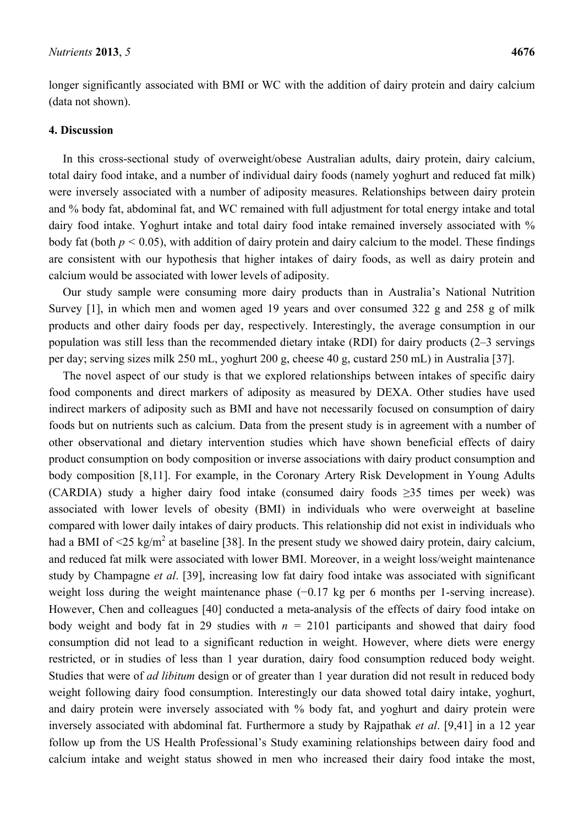longer significantly associated with BMI or WC with the addition of dairy protein and dairy calcium (data not shown).

#### **4. Discussion**

In this cross-sectional study of overweight/obese Australian adults, dairy protein, dairy calcium, total dairy food intake, and a number of individual dairy foods (namely yoghurt and reduced fat milk) were inversely associated with a number of adiposity measures. Relationships between dairy protein and % body fat, abdominal fat, and WC remained with full adjustment for total energy intake and total dairy food intake. Yoghurt intake and total dairy food intake remained inversely associated with % body fat (both  $p \le 0.05$ ), with addition of dairy protein and dairy calcium to the model. These findings are consistent with our hypothesis that higher intakes of dairy foods, as well as dairy protein and calcium would be associated with lower levels of adiposity.

Our study sample were consuming more dairy products than in Australia's National Nutrition Survey [1], in which men and women aged 19 years and over consumed 322 g and 258 g of milk products and other dairy foods per day, respectively. Interestingly, the average consumption in our population was still less than the recommended dietary intake (RDI) for dairy products (2–3 servings per day; serving sizes milk 250 mL, yoghurt 200 g, cheese 40 g, custard 250 mL) in Australia [37].

The novel aspect of our study is that we explored relationships between intakes of specific dairy food components and direct markers of adiposity as measured by DEXA. Other studies have used indirect markers of adiposity such as BMI and have not necessarily focused on consumption of dairy foods but on nutrients such as calcium. Data from the present study is in agreement with a number of other observational and dietary intervention studies which have shown beneficial effects of dairy product consumption on body composition or inverse associations with dairy product consumption and body composition [8,11]. For example, in the Coronary Artery Risk Development in Young Adults (CARDIA) study a higher dairy food intake (consumed dairy foods  $\geq$ 35 times per week) was associated with lower levels of obesity (BMI) in individuals who were overweight at baseline compared with lower daily intakes of dairy products. This relationship did not exist in individuals who had a BMI of  $\leq$ 25 kg/m<sup>2</sup> at baseline [38]. In the present study we showed dairy protein, dairy calcium, and reduced fat milk were associated with lower BMI. Moreover, in a weight loss/weight maintenance study by Champagne *et al*. [39], increasing low fat dairy food intake was associated with significant weight loss during the weight maintenance phase (−0.17 kg per 6 months per 1-serving increase). However, Chen and colleagues [40] conducted a meta-analysis of the effects of dairy food intake on body weight and body fat in 29 studies with  $n = 2101$  participants and showed that dairy food consumption did not lead to a significant reduction in weight. However, where diets were energy restricted, or in studies of less than 1 year duration, dairy food consumption reduced body weight. Studies that were of *ad libitum* design or of greater than 1 year duration did not result in reduced body weight following dairy food consumption. Interestingly our data showed total dairy intake, yoghurt, and dairy protein were inversely associated with % body fat, and yoghurt and dairy protein were inversely associated with abdominal fat. Furthermore a study by Rajpathak *et al*. [9,41] in a 12 year follow up from the US Health Professional's Study examining relationships between dairy food and calcium intake and weight status showed in men who increased their dairy food intake the most,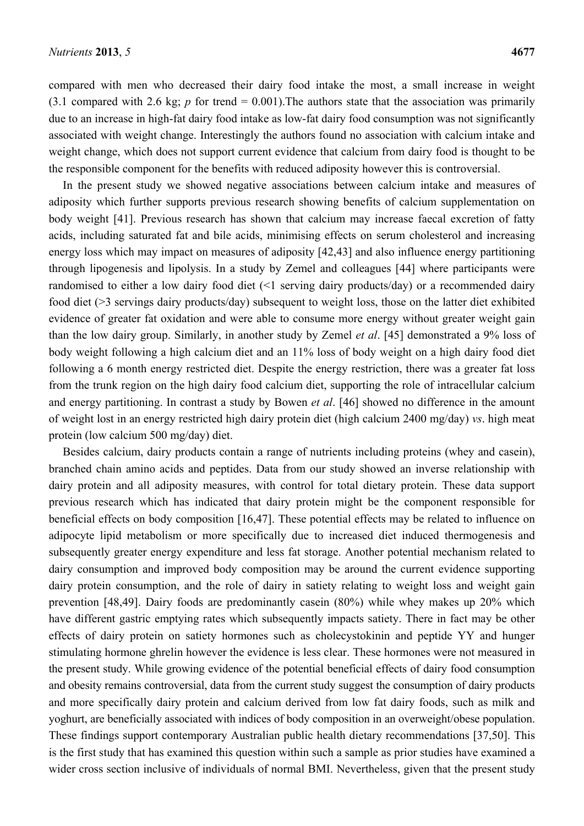compared with men who decreased their dairy food intake the most, a small increase in weight (3.1 compared with 2.6 kg;  $p$  for trend = 0.001). The authors state that the association was primarily due to an increase in high-fat dairy food intake as low-fat dairy food consumption was not significantly associated with weight change. Interestingly the authors found no association with calcium intake and weight change, which does not support current evidence that calcium from dairy food is thought to be the responsible component for the benefits with reduced adiposity however this is controversial.

In the present study we showed negative associations between calcium intake and measures of adiposity which further supports previous research showing benefits of calcium supplementation on body weight [41]. Previous research has shown that calcium may increase faecal excretion of fatty acids, including saturated fat and bile acids, minimising effects on serum cholesterol and increasing energy loss which may impact on measures of adiposity [42,43] and also influence energy partitioning through lipogenesis and lipolysis. In a study by Zemel and colleagues [44] where participants were randomised to either a low dairy food diet (<1 serving dairy products/day) or a recommended dairy food diet (>3 servings dairy products/day) subsequent to weight loss, those on the latter diet exhibited evidence of greater fat oxidation and were able to consume more energy without greater weight gain than the low dairy group. Similarly, in another study by Zemel *et al*. [45] demonstrated a 9% loss of body weight following a high calcium diet and an 11% loss of body weight on a high dairy food diet following a 6 month energy restricted diet. Despite the energy restriction, there was a greater fat loss from the trunk region on the high dairy food calcium diet, supporting the role of intracellular calcium and energy partitioning. In contrast a study by Bowen *et al*. [46] showed no difference in the amount of weight lost in an energy restricted high dairy protein diet (high calcium 2400 mg/day) *vs*. high meat protein (low calcium 500 mg/day) diet.

Besides calcium, dairy products contain a range of nutrients including proteins (whey and casein), branched chain amino acids and peptides. Data from our study showed an inverse relationship with dairy protein and all adiposity measures, with control for total dietary protein. These data support previous research which has indicated that dairy protein might be the component responsible for beneficial effects on body composition [16,47]. These potential effects may be related to influence on adipocyte lipid metabolism or more specifically due to increased diet induced thermogenesis and subsequently greater energy expenditure and less fat storage. Another potential mechanism related to dairy consumption and improved body composition may be around the current evidence supporting dairy protein consumption, and the role of dairy in satiety relating to weight loss and weight gain prevention [48,49]. Dairy foods are predominantly casein (80%) while whey makes up 20% which have different gastric emptying rates which subsequently impacts satiety. There in fact may be other effects of dairy protein on satiety hormones such as cholecystokinin and peptide YY and hunger stimulating hormone ghrelin however the evidence is less clear. These hormones were not measured in the present study. While growing evidence of the potential beneficial effects of dairy food consumption and obesity remains controversial, data from the current study suggest the consumption of dairy products and more specifically dairy protein and calcium derived from low fat dairy foods, such as milk and yoghurt, are beneficially associated with indices of body composition in an overweight/obese population. These findings support contemporary Australian public health dietary recommendations [37,50]. This is the first study that has examined this question within such a sample as prior studies have examined a wider cross section inclusive of individuals of normal BMI. Nevertheless, given that the present study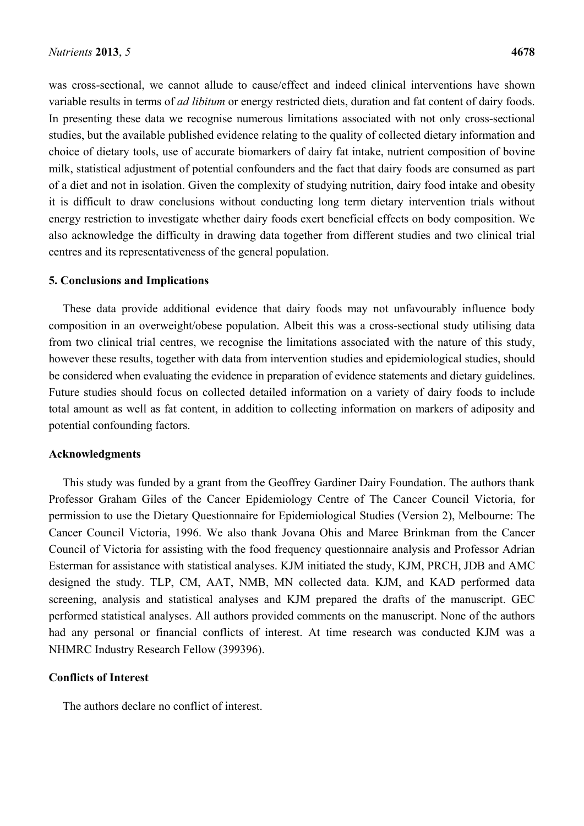was cross-sectional, we cannot allude to cause/effect and indeed clinical interventions have shown variable results in terms of *ad libitum* or energy restricted diets, duration and fat content of dairy foods. In presenting these data we recognise numerous limitations associated with not only cross-sectional studies, but the available published evidence relating to the quality of collected dietary information and choice of dietary tools, use of accurate biomarkers of dairy fat intake, nutrient composition of bovine milk, statistical adjustment of potential confounders and the fact that dairy foods are consumed as part of a diet and not in isolation. Given the complexity of studying nutrition, dairy food intake and obesity it is difficult to draw conclusions without conducting long term dietary intervention trials without energy restriction to investigate whether dairy foods exert beneficial effects on body composition. We also acknowledge the difficulty in drawing data together from different studies and two clinical trial centres and its representativeness of the general population.

#### **5. Conclusions and Implications**

These data provide additional evidence that dairy foods may not unfavourably influence body composition in an overweight/obese population. Albeit this was a cross-sectional study utilising data from two clinical trial centres, we recognise the limitations associated with the nature of this study, however these results, together with data from intervention studies and epidemiological studies, should be considered when evaluating the evidence in preparation of evidence statements and dietary guidelines. Future studies should focus on collected detailed information on a variety of dairy foods to include total amount as well as fat content, in addition to collecting information on markers of adiposity and potential confounding factors.

#### **Acknowledgments**

This study was funded by a grant from the Geoffrey Gardiner Dairy Foundation. The authors thank Professor Graham Giles of the Cancer Epidemiology Centre of The Cancer Council Victoria, for permission to use the Dietary Questionnaire for Epidemiological Studies (Version 2), Melbourne: The Cancer Council Victoria, 1996. We also thank Jovana Ohis and Maree Brinkman from the Cancer Council of Victoria for assisting with the food frequency questionnaire analysis and Professor Adrian Esterman for assistance with statistical analyses. KJM initiated the study, KJM, PRCH, JDB and AMC designed the study. TLP, CM, AAT, NMB, MN collected data. KJM, and KAD performed data screening, analysis and statistical analyses and KJM prepared the drafts of the manuscript. GEC performed statistical analyses. All authors provided comments on the manuscript. None of the authors had any personal or financial conflicts of interest. At time research was conducted KJM was a NHMRC Industry Research Fellow (399396).

#### **Conflicts of Interest**

The authors declare no conflict of interest.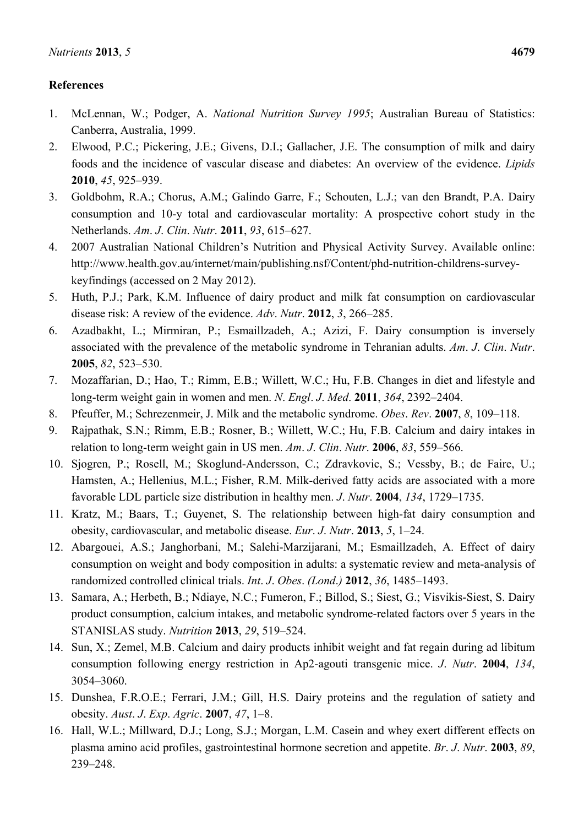### **References**

- 1. McLennan, W.; Podger, A. *National Nutrition Survey 1995*; Australian Bureau of Statistics: Canberra, Australia, 1999.
- 2. Elwood, P.C.; Pickering, J.E.; Givens, D.I.; Gallacher, J.E. The consumption of milk and dairy foods and the incidence of vascular disease and diabetes: An overview of the evidence. *Lipids*  **2010**, *45*, 925–939.
- 3. Goldbohm, R.A.; Chorus, A.M.; Galindo Garre, F.; Schouten, L.J.; van den Brandt, P.A. Dairy consumption and 10-y total and cardiovascular mortality: A prospective cohort study in the Netherlands. *Am*. *J*. *Clin*. *Nutr*. **2011**, *93*, 615–627.
- 4. 2007 Australian National Children's Nutrition and Physical Activity Survey. Available online: http://www.health.gov.au/internet/main/publishing.nsf/Content/phd-nutrition-childrens-surveykeyfindings (accessed on 2 May 2012).
- 5. Huth, P.J.; Park, K.M. Influence of dairy product and milk fat consumption on cardiovascular disease risk: A review of the evidence. *Adv*. *Nutr*. **2012**, *3*, 266–285.
- 6. Azadbakht, L.; Mirmiran, P.; Esmaillzadeh, A.; Azizi, F. Dairy consumption is inversely associated with the prevalence of the metabolic syndrome in Tehranian adults. *Am*. *J*. *Clin*. *Nutr*. **2005**, *82*, 523–530.
- 7. Mozaffarian, D.; Hao, T.; Rimm, E.B.; Willett, W.C.; Hu, F.B. Changes in diet and lifestyle and long-term weight gain in women and men. *N*. *Engl*. *J*. *Med*. **2011**, *364*, 2392–2404.
- 8. Pfeuffer, M.; Schrezenmeir, J. Milk and the metabolic syndrome. *Obes*. *Rev*. **2007**, *8*, 109–118.
- 9. Rajpathak, S.N.; Rimm, E.B.; Rosner, B.; Willett, W.C.; Hu, F.B. Calcium and dairy intakes in relation to long-term weight gain in US men. *Am*. *J*. *Clin*. *Nutr*. **2006**, *83*, 559–566.
- 10. Sjogren, P.; Rosell, M.; Skoglund-Andersson, C.; Zdravkovic, S.; Vessby, B.; de Faire, U.; Hamsten, A.; Hellenius, M.L.; Fisher, R.M. Milk-derived fatty acids are associated with a more favorable LDL particle size distribution in healthy men. *J*. *Nutr*. **2004**, *134*, 1729–1735.
- 11. Kratz, M.; Baars, T.; Guyenet, S. The relationship between high-fat dairy consumption and obesity, cardiovascular, and metabolic disease. *Eur*. *J*. *Nutr*. **2013**, *5*, 1–24.
- 12. Abargouei, A.S.; Janghorbani, M.; Salehi-Marzijarani, M.; Esmaillzadeh, A. Effect of dairy consumption on weight and body composition in adults: a systematic review and meta-analysis of randomized controlled clinical trials. *Int*. *J*. *Obes*. *(Lond*.*)* **2012**, *36*, 1485–1493.
- 13. Samara, A.; Herbeth, B.; Ndiaye, N.C.; Fumeron, F.; Billod, S.; Siest, G.; Visvikis-Siest, S. Dairy product consumption, calcium intakes, and metabolic syndrome-related factors over 5 years in the STANISLAS study. *Nutrition* **2013**, *29*, 519–524.
- 14. Sun, X.; Zemel, M.B. Calcium and dairy products inhibit weight and fat regain during ad libitum consumption following energy restriction in Ap2-agouti transgenic mice. *J*. *Nutr*. **2004**, *134*, 3054–3060.
- 15. Dunshea, F.R.O.E.; Ferrari, J.M.; Gill, H.S. Dairy proteins and the regulation of satiety and obesity. *Aust*. *J*. *Exp*. *Agric*. **2007**, *47*, 1–8.
- 16. Hall, W.L.; Millward, D.J.; Long, S.J.; Morgan, L.M. Casein and whey exert different effects on plasma amino acid profiles, gastrointestinal hormone secretion and appetite. *Br*. *J*. *Nutr*. **2003**, *89*, 239–248.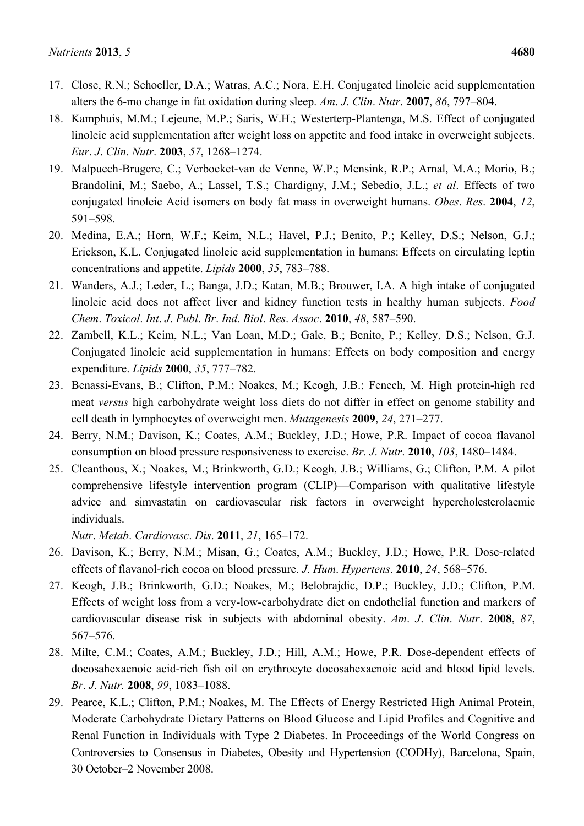- 17. Close, R.N.; Schoeller, D.A.; Watras, A.C.; Nora, E.H. Conjugated linoleic acid supplementation alters the 6-mo change in fat oxidation during sleep. *Am*. *J*. *Clin*. *Nutr*. **2007**, *86*, 797–804.
- 18. Kamphuis, M.M.; Lejeune, M.P.; Saris, W.H.; Westerterp-Plantenga, M.S. Effect of conjugated linoleic acid supplementation after weight loss on appetite and food intake in overweight subjects. *Eur*. *J*. *Clin*. *Nutr*. **2003**, *57*, 1268–1274.
- 19. Malpuech-Brugere, C.; Verboeket-van de Venne, W.P.; Mensink, R.P.; Arnal, M.A.; Morio, B.; Brandolini, M.; Saebo, A.; Lassel, T.S.; Chardigny, J.M.; Sebedio, J.L.; *et al*. Effects of two conjugated linoleic Acid isomers on body fat mass in overweight humans. *Obes*. *Res*. **2004**, *12*, 591–598.
- 20. Medina, E.A.; Horn, W.F.; Keim, N.L.; Havel, P.J.; Benito, P.; Kelley, D.S.; Nelson, G.J.; Erickson, K.L. Conjugated linoleic acid supplementation in humans: Effects on circulating leptin concentrations and appetite. *Lipids* **2000**, *35*, 783–788.
- 21. Wanders, A.J.; Leder, L.; Banga, J.D.; Katan, M.B.; Brouwer, I.A. A high intake of conjugated linoleic acid does not affect liver and kidney function tests in healthy human subjects. *Food Chem*. *Toxicol*. *Int*. *J*. *Publ*. *Br*. *Ind*. *Biol*. *Res*. *Assoc*. **2010**, *48*, 587–590.
- 22. Zambell, K.L.; Keim, N.L.; Van Loan, M.D.; Gale, B.; Benito, P.; Kelley, D.S.; Nelson, G.J. Conjugated linoleic acid supplementation in humans: Effects on body composition and energy expenditure. *Lipids* **2000**, *35*, 777–782.
- 23. Benassi-Evans, B.; Clifton, P.M.; Noakes, M.; Keogh, J.B.; Fenech, M. High protein-high red meat *versus* high carbohydrate weight loss diets do not differ in effect on genome stability and cell death in lymphocytes of overweight men. *Mutagenesis* **2009**, *24*, 271–277.
- 24. Berry, N.M.; Davison, K.; Coates, A.M.; Buckley, J.D.; Howe, P.R. Impact of cocoa flavanol consumption on blood pressure responsiveness to exercise. *Br*. *J*. *Nutr*. **2010**, *103*, 1480–1484.
- 25. Cleanthous, X.; Noakes, M.; Brinkworth, G.D.; Keogh, J.B.; Williams, G.; Clifton, P.M. A pilot comprehensive lifestyle intervention program (CLIP)—Comparison with qualitative lifestyle advice and simvastatin on cardiovascular risk factors in overweight hypercholesterolaemic individuals.

*Nutr*. *Metab*. *Cardiovasc*. *Dis*. **2011**, *21*, 165–172.

- 26. Davison, K.; Berry, N.M.; Misan, G.; Coates, A.M.; Buckley, J.D.; Howe, P.R. Dose-related effects of flavanol-rich cocoa on blood pressure. *J*. *Hum*. *Hypertens*. **2010**, *24*, 568–576.
- 27. Keogh, J.B.; Brinkworth, G.D.; Noakes, M.; Belobrajdic, D.P.; Buckley, J.D.; Clifton, P.M. Effects of weight loss from a very-low-carbohydrate diet on endothelial function and markers of cardiovascular disease risk in subjects with abdominal obesity. *Am*. *J*. *Clin*. *Nutr*. **2008**, *87*, 567–576.
- 28. Milte, C.M.; Coates, A.M.; Buckley, J.D.; Hill, A.M.; Howe, P.R. Dose-dependent effects of docosahexaenoic acid-rich fish oil on erythrocyte docosahexaenoic acid and blood lipid levels. *Br*. *J*. *Nutr.* **2008**, *99*, 1083–1088.
- 29. Pearce, K.L.; Clifton, P.M.; Noakes, M. The Effects of Energy Restricted High Animal Protein, Moderate Carbohydrate Dietary Patterns on Blood Glucose and Lipid Profiles and Cognitive and Renal Function in Individuals with Type 2 Diabetes. In Proceedings of the World Congress on Controversies to Consensus in Diabetes, Obesity and Hypertension (CODHy), Barcelona, Spain, 30 October–2 November 2008.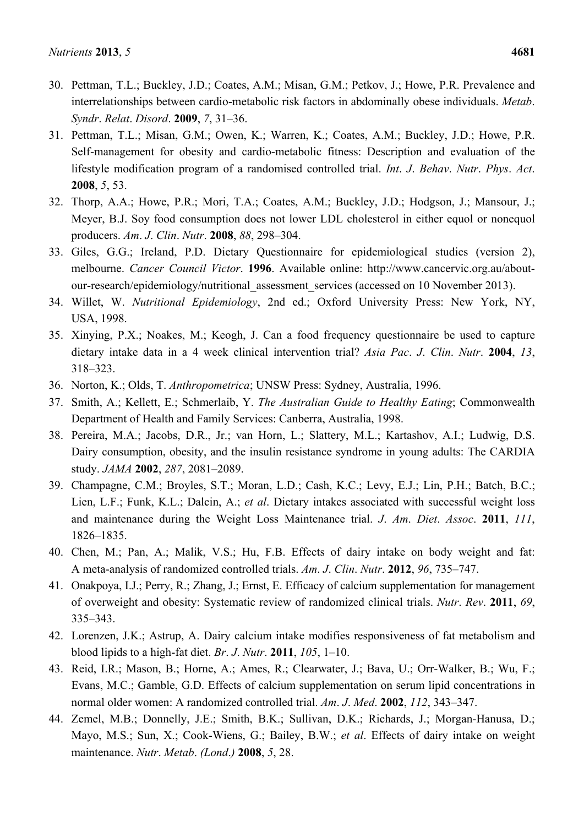- 30. Pettman, T.L.; Buckley, J.D.; Coates, A.M.; Misan, G.M.; Petkov, J.; Howe, P.R. Prevalence and interrelationships between cardio-metabolic risk factors in abdominally obese individuals. *Metab*. *Syndr*. *Relat*. *Disord*. **2009**, *7*, 31–36.
- 31. Pettman, T.L.; Misan, G.M.; Owen, K.; Warren, K.; Coates, A.M.; Buckley, J.D.; Howe, P.R. Self-management for obesity and cardio-metabolic fitness: Description and evaluation of the lifestyle modification program of a randomised controlled trial. *Int*. *J*. *Behav*. *Nutr*. *Phys*. *Act*. **2008**, *5*, 53.
- 32. Thorp, A.A.; Howe, P.R.; Mori, T.A.; Coates, A.M.; Buckley, J.D.; Hodgson, J.; Mansour, J.; Meyer, B.J. Soy food consumption does not lower LDL cholesterol in either equol or nonequol producers. *Am*. *J*. *Clin*. *Nutr*. **2008**, *88*, 298–304.
- 33. Giles, G.G.; Ireland, P.D. Dietary Questionnaire for epidemiological studies (version 2), melbourne. *Cancer Council Victor*. **1996**. Available online: http://www.cancervic.org.au/aboutour-research/epidemiology/nutritional\_assessment\_services (accessed on 10 November 2013).
- 34. Willet, W. *Nutritional Epidemiology*, 2nd ed.; Oxford University Press: New York, NY, USA, 1998.
- 35. Xinying, P.X.; Noakes, M.; Keogh, J. Can a food frequency questionnaire be used to capture dietary intake data in a 4 week clinical intervention trial? *Asia Pac*. *J*. *Clin*. *Nutr*. **2004**, *13*, 318–323.
- 36. Norton, K.; Olds, T. *Anthropometrica*; UNSW Press: Sydney, Australia, 1996.
- 37. Smith, A.; Kellett, E.; Schmerlaib, Y. *The Australian Guide to Healthy Eating*; Commonwealth Department of Health and Family Services: Canberra, Australia, 1998.
- 38. Pereira, M.A.; Jacobs, D.R., Jr.; van Horn, L.; Slattery, M.L.; Kartashov, A.I.; Ludwig, D.S. Dairy consumption, obesity, and the insulin resistance syndrome in young adults: The CARDIA study. *JAMA* **2002**, *287*, 2081–2089.
- 39. Champagne, C.M.; Broyles, S.T.; Moran, L.D.; Cash, K.C.; Levy, E.J.; Lin, P.H.; Batch, B.C.; Lien, L.F.; Funk, K.L.; Dalcin, A.; *et al*. Dietary intakes associated with successful weight loss and maintenance during the Weight Loss Maintenance trial. *J*. *Am*. *Diet*. *Assoc*. **2011**, *111*, 1826–1835.
- 40. Chen, M.; Pan, A.; Malik, V.S.; Hu, F.B. Effects of dairy intake on body weight and fat: A meta-analysis of randomized controlled trials. *Am*. *J*. *Clin*. *Nutr*. **2012**, *96*, 735–747.
- 41. Onakpoya, I.J.; Perry, R.; Zhang, J.; Ernst, E. Efficacy of calcium supplementation for management of overweight and obesity: Systematic review of randomized clinical trials. *Nutr*. *Rev*. **2011**, *69*, 335–343.
- 42. Lorenzen, J.K.; Astrup, A. Dairy calcium intake modifies responsiveness of fat metabolism and blood lipids to a high-fat diet. *Br*. *J*. *Nutr*. **2011**, *105*, 1–10.
- 43. Reid, I.R.; Mason, B.; Horne, A.; Ames, R.; Clearwater, J.; Bava, U.; Orr-Walker, B.; Wu, F.; Evans, M.C.; Gamble, G.D. Effects of calcium supplementation on serum lipid concentrations in normal older women: A randomized controlled trial. *Am*. *J*. *Med*. **2002**, *112*, 343–347.
- 44. Zemel, M.B.; Donnelly, J.E.; Smith, B.K.; Sullivan, D.K.; Richards, J.; Morgan-Hanusa, D.; Mayo, M.S.; Sun, X.; Cook-Wiens, G.; Bailey, B.W.; *et al*. Effects of dairy intake on weight maintenance. *Nutr*. *Metab*. *(Lond*.*)* **2008**, *5*, 28.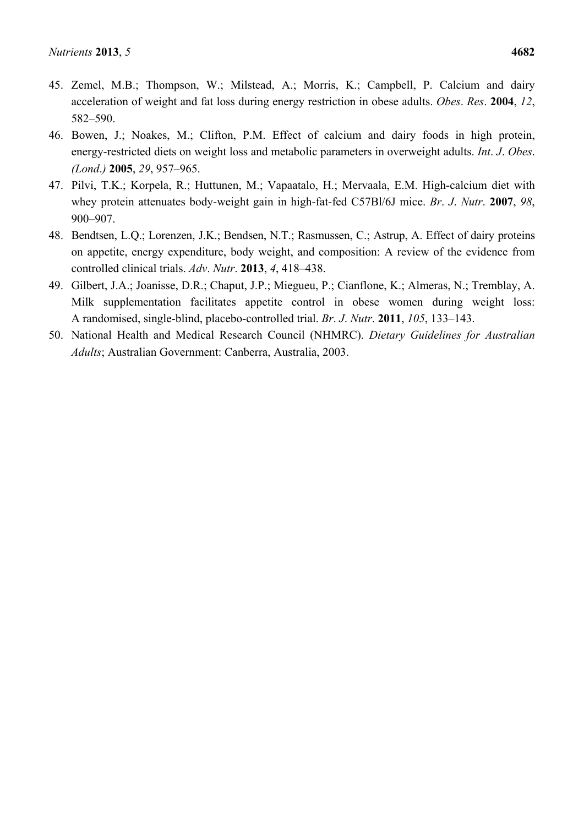- 45. Zemel, M.B.; Thompson, W.; Milstead, A.; Morris, K.; Campbell, P. Calcium and dairy acceleration of weight and fat loss during energy restriction in obese adults. *Obes*. *Res*. **2004**, *12*, 582–590.
- 46. Bowen, J.; Noakes, M.; Clifton, P.M. Effect of calcium and dairy foods in high protein, energy-restricted diets on weight loss and metabolic parameters in overweight adults. *Int*. *J*. *Obes*. *(Lond*.*)* **2005**, *29*, 957–965.
- 47. Pilvi, T.K.; Korpela, R.; Huttunen, M.; Vapaatalo, H.; Mervaala, E.M. High-calcium diet with whey protein attenuates body-weight gain in high-fat-fed C57Bl/6J mice. *Br*. *J*. *Nutr*. **2007**, *98*, 900–907.
- 48. Bendtsen, L.Q.; Lorenzen, J.K.; Bendsen, N.T.; Rasmussen, C.; Astrup, A. Effect of dairy proteins on appetite, energy expenditure, body weight, and composition: A review of the evidence from controlled clinical trials. *Adv*. *Nutr*. **2013**, *4*, 418–438.
- 49. Gilbert, J.A.; Joanisse, D.R.; Chaput, J.P.; Miegueu, P.; Cianflone, K.; Almeras, N.; Tremblay, A. Milk supplementation facilitates appetite control in obese women during weight loss: A randomised, single-blind, placebo-controlled trial. *Br*. *J*. *Nutr*. **2011**, *105*, 133–143.
- 50. National Health and Medical Research Council (NHMRC). *Dietary Guidelines for Australian Adults*; Australian Government: Canberra, Australia, 2003.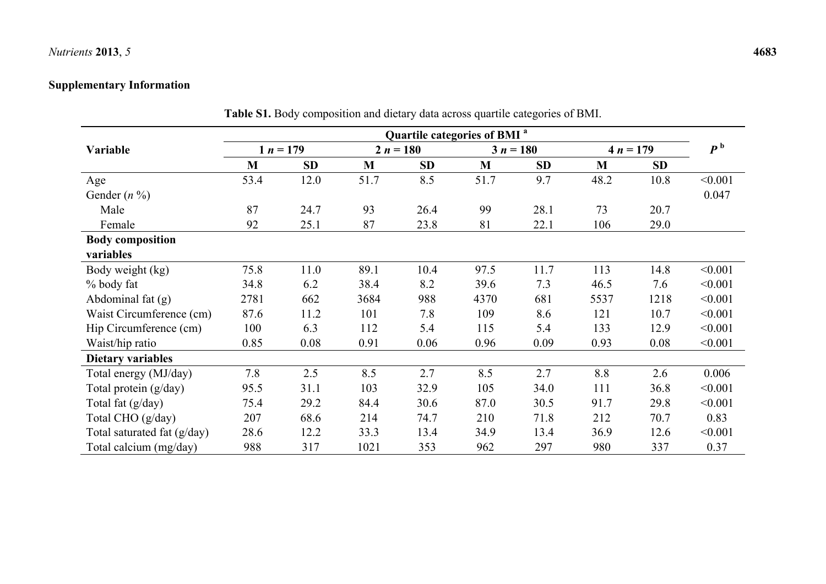## *Nutrients* **2013**, *5* **4683**

## **Supplementary Information**

|                             | Quartile categories of BMI <sup>a</sup> |           |             |      |              |      |             |      |                |  |
|-----------------------------|-----------------------------------------|-----------|-------------|------|--------------|------|-------------|------|----------------|--|
| Variable                    | $1 n = 179$                             |           | $2 n = 180$ |      | $3 n = 180$  |      | $4 n = 179$ |      | P <sup>b</sup> |  |
|                             | M                                       | <b>SD</b> | M           | SD   | $\mathbf{M}$ | SD   | M           | SD   |                |  |
| Age                         | 53.4                                    | 12.0      | 51.7        | 8.5  | 51.7         | 9.7  | 48.2        | 10.8 | < 0.001        |  |
| Gender $(n \%)$             |                                         |           |             |      |              |      |             |      | 0.047          |  |
| Male                        | 87                                      | 24.7      | 93          | 26.4 | 99           | 28.1 | 73          | 20.7 |                |  |
| Female                      | 92                                      | 25.1      | 87          | 23.8 | 81           | 22.1 | 106         | 29.0 |                |  |
| <b>Body composition</b>     |                                         |           |             |      |              |      |             |      |                |  |
| variables                   |                                         |           |             |      |              |      |             |      |                |  |
| Body weight (kg)            | 75.8                                    | 11.0      | 89.1        | 10.4 | 97.5         | 11.7 | 113         | 14.8 | < 0.001        |  |
| % body fat                  | 34.8                                    | 6.2       | 38.4        | 8.2  | 39.6         | 7.3  | 46.5        | 7.6  | < 0.001        |  |
| Abdominal fat $(g)$         | 2781                                    | 662       | 3684        | 988  | 4370         | 681  | 5537        | 1218 | < 0.001        |  |
| Waist Circumference (cm)    | 87.6                                    | 11.2      | 101         | 7.8  | 109          | 8.6  | 121         | 10.7 | < 0.001        |  |
| Hip Circumference (cm)      | 100                                     | 6.3       | 112         | 5.4  | 115          | 5.4  | 133         | 12.9 | < 0.001        |  |
| Waist/hip ratio             | 0.85                                    | 0.08      | 0.91        | 0.06 | 0.96         | 0.09 | 0.93        | 0.08 | < 0.001        |  |
| <b>Dietary variables</b>    |                                         |           |             |      |              |      |             |      |                |  |
| Total energy (MJ/day)       | 7.8                                     | 2.5       | 8.5         | 2.7  | 8.5          | 2.7  | 8.8         | 2.6  | 0.006          |  |
| Total protein (g/day)       | 95.5                                    | 31.1      | 103         | 32.9 | 105          | 34.0 | 111         | 36.8 | < 0.001        |  |
| Total fat (g/day)           | 75.4                                    | 29.2      | 84.4        | 30.6 | 87.0         | 30.5 | 91.7        | 29.8 | < 0.001        |  |
| Total CHO (g/day)           | 207                                     | 68.6      | 214         | 74.7 | 210          | 71.8 | 212         | 70.7 | 0.83           |  |
| Total saturated fat (g/day) | 28.6                                    | 12.2      | 33.3        | 13.4 | 34.9         | 13.4 | 36.9        | 12.6 | < 0.001        |  |
| Total calcium (mg/day)      | 988                                     | 317       | 1021        | 353  | 962          | 297  | 980         | 337  | 0.37           |  |

**Table S1.** Body composition and dietary data across quartile categories of BMI.